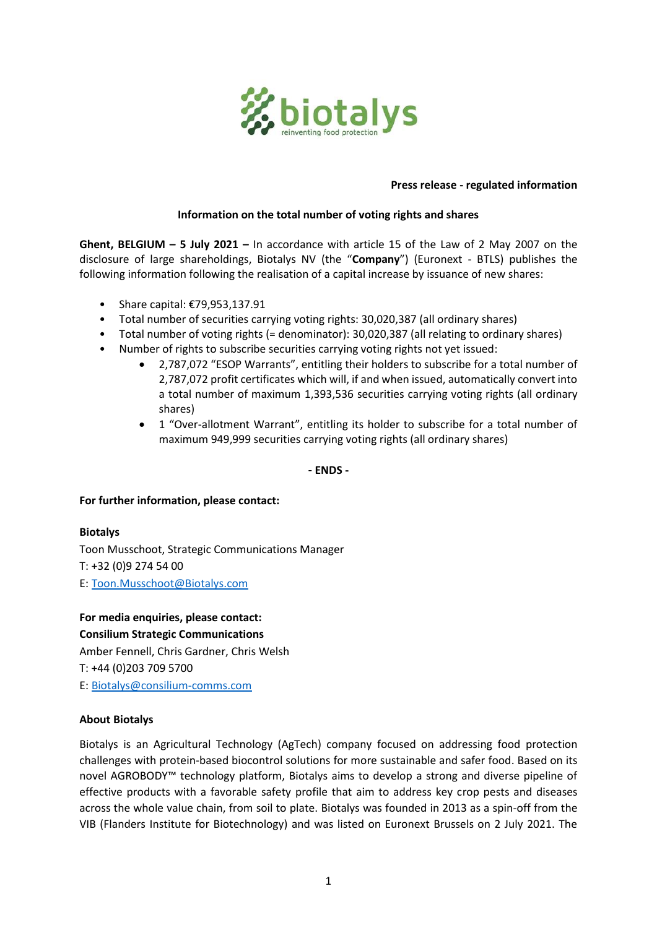

### **Press release - regulated information**

#### **Information on the total number of voting rights and shares**

**Ghent, BELGIUM – 5 July 2021 –** In accordance with article 15 of the Law of 2 May 2007 on the disclosure of large shareholdings, Biotalys NV (the "**Company**") (Euronext - BTLS) publishes the following information following the realisation of a capital increase by issuance of new shares:

- Share capital: €79,953,137.91
- Total number of securities carrying voting rights: 30,020,387 (all ordinary shares)
- Total number of voting rights (= denominator): 30,020,387 (all relating to ordinary shares)
- Number of rights to subscribe securities carrying voting rights not yet issued:
	- 2,787,072 "ESOP Warrants", entitling their holders to subscribe for a total number of 2,787,072 profit certificates which will, if and when issued, automatically convert into a total number of maximum 1,393,536 securities carrying voting rights (all ordinary shares)
	- 1 "Over-allotment Warrant", entitling its holder to subscribe for a total number of maximum 949,999 securities carrying voting rights (all ordinary shares)

- **ENDS -**

#### **For further information, please contact:**

# **Biotalys** Toon Musschoot, Strategic Communications Manager T: +32 (0)9 274 54 00 E: [Toon.Musschoot@Biotalys.com](mailto:Toon.Musschoot@biotalys.com)

**For media enquiries, please contact: Consilium Strategic Communications**

Amber Fennell, Chris Gardner, Chris Welsh T: +44 (0)203 709 5700 E: [Biotalys@consilium-comms.com](mailto:Biotalys@consilium-comms.com)

## **About Biotalys**

Biotalys is an Agricultural Technology (AgTech) company focused on addressing food protection challenges with protein-based biocontrol solutions for more sustainable and safer food. Based on its novel AGROBODY™ technology platform, Biotalys aims to develop a strong and diverse pipeline of effective products with a favorable safety profile that aim to address key crop pests and diseases across the whole value chain, from soil to plate. Biotalys was founded in 2013 as a spin-off from the VIB (Flanders Institute for Biotechnology) and was listed on Euronext Brussels on 2 July 2021. The